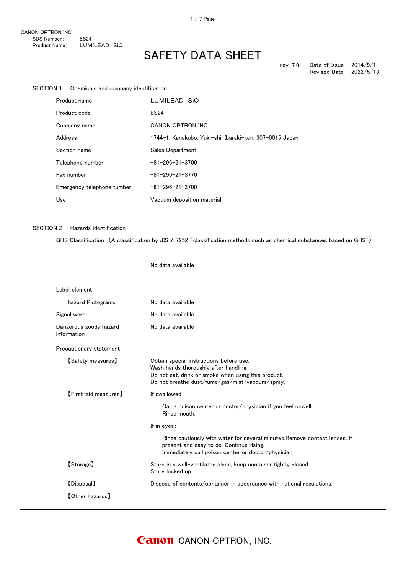| <b>SECTION 1</b> |         | Chemicals and company identification |                                                         |
|------------------|---------|--------------------------------------|---------------------------------------------------------|
|                  |         | Product name                         | LUMILEAD SIO                                            |
|                  |         | Product code                         | <b>ES24</b>                                             |
|                  |         | Company name                         | CANON OPTRON INC.                                       |
|                  | Address |                                      | 1744-1, Kanakubo, Yuki-shi, Ibaraki-ken, 307-0015 Japan |
|                  |         | Section name                         | Sales Department                                        |
|                  |         | Telephone number                     | $+81 - 296 - 21 - 3700$                                 |
|                  |         | Fax number                           | $+81 - 296 - 21 - 3770$                                 |
|                  |         | Emergency telephone tumber           | $+81 - 296 - 21 - 3700$                                 |
|                  | Use     |                                      | Vacuum deposition material                              |
|                  |         |                                      |                                                         |

No data available

### SECTION 2 Hazards identification

GHS Classification (A classification by JIS Z 7252 "classification methods such as chemical substances based on GHS")

| Label element                         |                                                                                                                                                                                             |
|---------------------------------------|---------------------------------------------------------------------------------------------------------------------------------------------------------------------------------------------|
| hazard Pictograms                     | No data available                                                                                                                                                                           |
| Signal word                           | No data available                                                                                                                                                                           |
| Dangerous goods hazard<br>information | No data available                                                                                                                                                                           |
| Precautionary statement               |                                                                                                                                                                                             |
| <b>【Safety measures】</b>              | Obtain special instructions before use.<br>Wash hands thoroughly after handling.<br>Do not eat, drink or smoke when using this product.<br>Do not breathe dust/fume/gas/mist/vapours/spray. |
| [First-aid measures]                  | If swallowed:                                                                                                                                                                               |
|                                       | Call a poison center or doctor/physician if you feel unwell.<br>Rinse mouth.                                                                                                                |
|                                       | If in eyes:                                                                                                                                                                                 |
|                                       | Rinse cautiously with water for several minutes. Remove contact lenses, if<br>present and easy to do. Continue rising.<br>Immediately call poison center or doctor/physician                |
| [Storage]                             | Store in a well-ventilated place, keep container tightly closed.<br>Store locked up.                                                                                                        |
| [Disposal]                            | Dispose of contents/container in accordance with national regulations.                                                                                                                      |
| <b>[Other hazards]</b>                |                                                                                                                                                                                             |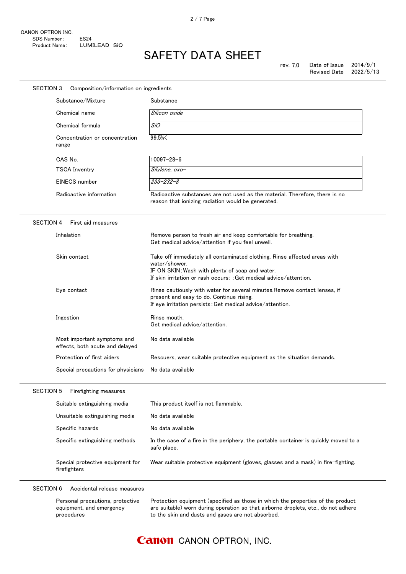| SECTION 3            | Composition/information on ingredients                         |                                                                                                                                                                                                                     |
|----------------------|----------------------------------------------------------------|---------------------------------------------------------------------------------------------------------------------------------------------------------------------------------------------------------------------|
| Substance/Mixture    |                                                                | Substance                                                                                                                                                                                                           |
| Chemical name        |                                                                | Silicon oxide                                                                                                                                                                                                       |
| Chemical formula     |                                                                | SiO                                                                                                                                                                                                                 |
| range                | Concentration or concentration                                 | 99.5%                                                                                                                                                                                                               |
| CAS No.              |                                                                | $10097 - 28 - 6$                                                                                                                                                                                                    |
| <b>TSCA Inventry</b> |                                                                | Silylene, oxo-                                                                                                                                                                                                      |
| EINECS number        |                                                                | $233 - 232 - 8$                                                                                                                                                                                                     |
|                      | Radioactive information                                        | Radioactive substances are not used as the material. Therefore, there is no<br>reason that ionizing radiation would be generated.                                                                                   |
| <b>SECTION 4</b>     | First aid measures                                             |                                                                                                                                                                                                                     |
| Inhalation           |                                                                | Remove person to fresh air and keep comfortable for breathing.<br>Get medical advice/attention if you feel unwell.                                                                                                  |
| Skin contact         |                                                                | Take off immediately all contaminated clothing. Rinse affected areas with<br>water/shower.<br>IF ON SKIN: Wash with plenty of soap and water.<br>If skin irritation or rash occurs: : Get medical advice/attention. |
| Eye contact          |                                                                | Rinse cautiously with water for several minutes. Remove contact lenses, if<br>present and easy to do. Continue rising.<br>If eye irritation persists: Get medical advice/attention.                                 |
| Ingestion            |                                                                | Rinse mouth.<br>Get medical advice/attention.                                                                                                                                                                       |
|                      | Most important symptoms and<br>effects, both acute and delaved | No data available                                                                                                                                                                                                   |
|                      | Protection of first aiders                                     | Rescuers, wear suitable protective equipment as the situation demands.                                                                                                                                              |
|                      | Special precautions for physicians                             | No data available                                                                                                                                                                                                   |
| <b>SECTION 5</b>     | Firefighting measures                                          |                                                                                                                                                                                                                     |
|                      | Suitable extinguishing media                                   | This product itself is not flammable.                                                                                                                                                                               |
|                      | Unsuitable extinguishing media                                 | No data available                                                                                                                                                                                                   |
| Specific hazards     |                                                                | No data available                                                                                                                                                                                                   |
|                      | Specific extinguishing methods                                 | In the case of a fire in the periphery, the portable container is quickly moved to a<br>safe place.                                                                                                                 |
| firefighters         | Special protective equipment for                               | Wear suitable protective equipment (gloves, glasses and a mask) in fire-fighting.                                                                                                                                   |

 $\overline{a}$ 

| Personal precautions, protective | Protection equipment (specified as those in which the properties of the product    |
|----------------------------------|------------------------------------------------------------------------------------|
| equipment, and emergency         | are suitable) worn during operation so that airborne droplets, etc., do not adhere |
| procedures                       | to the skin and dusts and gases are not absorbed.                                  |
|                                  |                                                                                    |

## **Canon** CANON OPTRON, INC.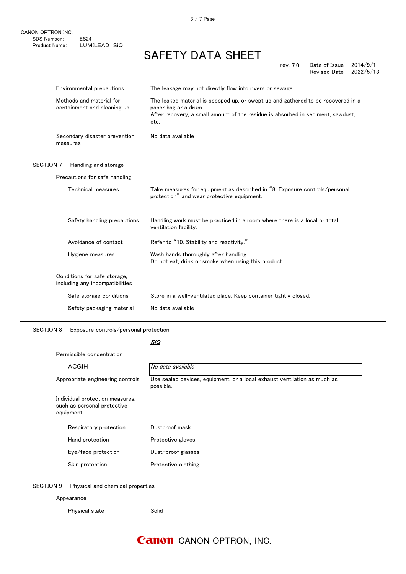3 / 7 Page

# SAFETY DATA SHEET

rev. 7.0 Date of Issue 2014/9/1 Revised Date 2022/5/13

|                  | Environmental precautions                                       | The leakage may not directly flow into rivers or sewage.                                                                                                                                            |  |
|------------------|-----------------------------------------------------------------|-----------------------------------------------------------------------------------------------------------------------------------------------------------------------------------------------------|--|
|                  | Methods and material for<br>containment and cleaning up         | The leaked material is scooped up, or swept up and gathered to be recovered in a<br>paper bag or a drum.<br>After recovery, a small amount of the residue is absorbed in sediment, sawdust,<br>etc. |  |
|                  | Secondary disaster prevention<br>measures                       | No data available                                                                                                                                                                                   |  |
| <b>SECTION 7</b> | Handling and storage                                            |                                                                                                                                                                                                     |  |
|                  | Precautions for safe handling                                   |                                                                                                                                                                                                     |  |
|                  | Technical measures                                              | Take measures for equipment as described in "8. Exposure controls/personal<br>protection" and wear protective equipment.                                                                            |  |
|                  | Safety handling precautions                                     | Handling work must be practiced in a room where there is a local or total<br>ventilation facility.                                                                                                  |  |
|                  | Avoidance of contact                                            | Refer to "10. Stability and reactivity."                                                                                                                                                            |  |
|                  | Hygiene measures                                                | Wash hands thoroughly after handling.<br>Do not eat, drink or smoke when using this product.                                                                                                        |  |
|                  | Conditions for safe storage,<br>including any incompatibilities |                                                                                                                                                                                                     |  |
|                  | Safe storage conditions                                         | Store in a well-ventilated place. Keep container tightly closed.                                                                                                                                    |  |
|                  | Safety packaging material                                       | No data available                                                                                                                                                                                   |  |
|                  |                                                                 |                                                                                                                                                                                                     |  |

SECTION 8 Exposure controls/personal protection

### <u>SiO</u>

| Permissible concentration                                                             |  |  |
|---------------------------------------------------------------------------------------|--|--|
| No data available                                                                     |  |  |
| Use sealed devices, equipment, or a local exhaust ventilation as much as<br>possible. |  |  |
|                                                                                       |  |  |
| Dustproof mask                                                                        |  |  |
| Protective gloves                                                                     |  |  |
| Dust-proof glasses                                                                    |  |  |
| Protective clothing                                                                   |  |  |
|                                                                                       |  |  |

SECTION 9 Physical and chemical properties

Physical state Solid

Appearance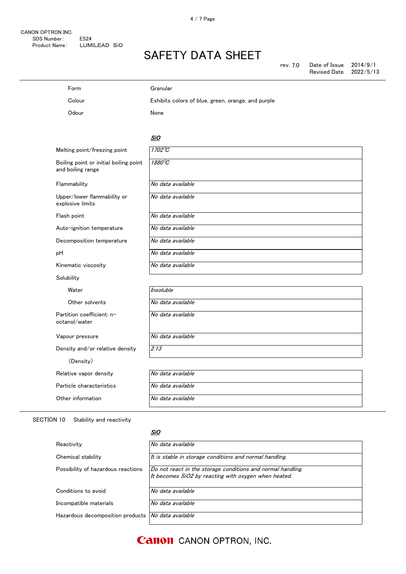| Form                                                        | Granular                                           |
|-------------------------------------------------------------|----------------------------------------------------|
| Colour                                                      | Exhibits colors of blue, green, orange, and purple |
| Odour                                                       | None                                               |
|                                                             |                                                    |
|                                                             | <b>SiO</b>                                         |
| Melting point/freezing point                                | $1702^{\circ}C$                                    |
| Boiling point or initial boiling point<br>and boiling range | 1880°C                                             |
| Flammability                                                | No data available                                  |
| Upper/lower flammability or<br>explosive limits             | No data available                                  |
| Flash point                                                 | No data available                                  |
| Auto-ignition temperature                                   | No data available                                  |
| Decomposition temperature                                   | No data available                                  |
| рH                                                          | No data available                                  |
| Kinematic viscosity                                         | No data available                                  |
| Solubility                                                  |                                                    |
| Water                                                       | Insoluble                                          |
| Other solvents                                              | No data available                                  |
| Partition coefficient: n-<br>octanol/water                  | No data available                                  |
| Vapour pressure                                             | No data available                                  |
| Density and/or relative density                             | 2.13                                               |
| (Density)                                                   |                                                    |
| Relative vapor density                                      | No data available                                  |
| Particle characteristics                                    | No data available                                  |
| Other information                                           | No data available                                  |

SECTION 10 Stability and reactivity

#### <u>SiO</u>

| Reactivity                         | No data available                                                                                                   |
|------------------------------------|---------------------------------------------------------------------------------------------------------------------|
| Chemical stability                 | It is stable in storage conditions and normal handling.                                                             |
| Possibility of hazardous reactions | Do not react in the storage conditions and normal handling.<br>It becomes SiO2 by reacting with oxygen when heated. |
| Conditions to avoid                | No data available                                                                                                   |
| Incompatible materials             | No data available                                                                                                   |
| Hazardous decomposition products   | No data available                                                                                                   |

**Canon** CANON OPTRON, INC.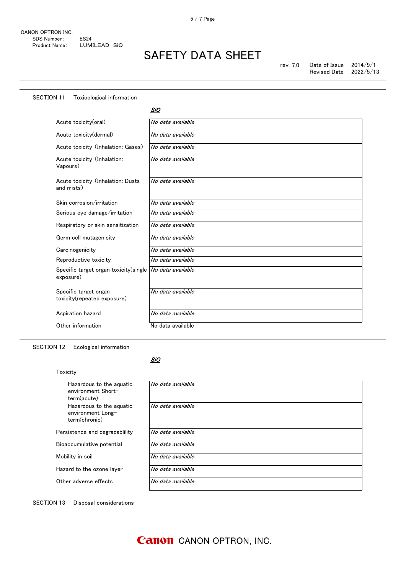| <b>SECTION 11</b><br>Toxicological information       |                   |
|------------------------------------------------------|-------------------|
|                                                      | SiO               |
| Acute toxicity(oral)                                 | No data available |
| Acute toxicity(dermal)                               | No data available |
| Acute toxicity (Inhalation: Gases)                   | No data available |
| Acute toxicity (Inhalation:<br>Vapours)              | No data available |
| Acute toxicity (Inhalation: Dusts<br>and mists)      | No data available |
| Skin corrosion/irritation                            | No data available |
| Serious eye damage/irritation                        | No data available |
| Respiratory or skin sensitization                    | No data available |
| Germ cell mutagenicity                               | No data available |
| Carcinogenicity                                      | No data available |
| Reproductive toxicity                                | No data available |
| Specific target organ toxicity (single<br>exposure)  | No data available |
| Specific target organ<br>toxicity(repeated exposure) | No data available |
| Aspiration hazard                                    | No data available |
| Other information                                    | No data available |

SECTION 12 Ecological information

#### <u>SiO</u>

| Toxicity                                                       |                   |
|----------------------------------------------------------------|-------------------|
| Hazardous to the aguatic<br>environment Short-<br>term(acute)  | No data available |
| Hazardous to the aguatic<br>environment Long-<br>term(chronic) | No data available |
| Persistence and degradability                                  | No data available |
| Bioaccumulative potential                                      | No data available |
| Mobility in soil                                               | No data available |
| Hazard to the ozone layer                                      | No data available |
| Other adverse effects                                          | No data available |

SECTION 13 Disposal considerations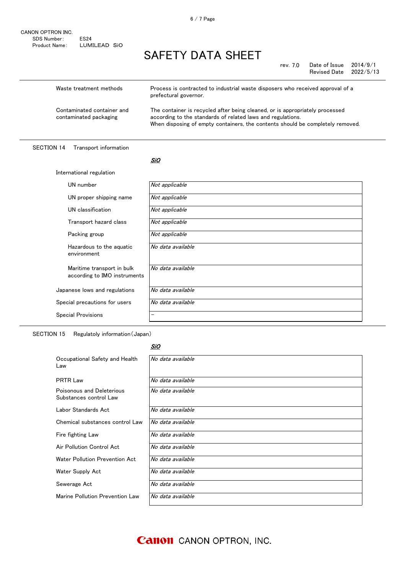CANON OPTRON INC. SDS Number: ES24 Product Name: LUMILEAD SiO

# SAFETY DATA SHEET

rev. 7.0 Date of Issue 2014/9/1 Revised Date 2022/5/13

| Waste treatment methods                              | Process is contracted to industrial waste disposers who received approval of a<br>prefectural governor.                                                                                                                       |
|------------------------------------------------------|-------------------------------------------------------------------------------------------------------------------------------------------------------------------------------------------------------------------------------|
| Contaminated container and<br>contaminated packaging | The container is recycled after being cleaned, or is appropriately processed<br>according to the standards of related laws and regulations.<br>When disposing of empty containers, the contents should be completely removed. |

### SECTION 14 Transport information

#### <u>SiO</u>

| International regulation                                   |                   |  |
|------------------------------------------------------------|-------------------|--|
| UN number                                                  | Not applicable    |  |
| UN proper shipping name                                    | Not applicable    |  |
| UN classification                                          | Not applicable    |  |
| Transport hazard class                                     | Not applicable    |  |
| Packing group                                              | Not applicable    |  |
| Hazardous to the aquatic<br>environment                    | No data available |  |
| Maritime transport in bulk<br>according to IMO instruments | No data available |  |
| Japanese lows and regulations                              | No data available |  |
| Special precautions for users                              | No data available |  |
| <b>Special Provisions</b>                                  | -                 |  |

SECTION 15 Regulatoly information(Japan)

#### <u>SiO</u>

| Occupational Safety and Health<br>Law               | No data available |
|-----------------------------------------------------|-------------------|
| <b>PRTR Law</b>                                     | No data available |
| Poisonous and Deleterious<br>Substances control Law | No data available |
| Labor Standards Act                                 | No data available |
| Chemical substances control Law                     | No data available |
| Fire fighting Law                                   | No data available |
| Air Pollution Control Act                           | No data available |
| Water Pollution Prevention Act                      | No data available |
| Water Supply Act                                    | No data available |
| Sewerage Act                                        | No data available |
| Marine Pollution Prevention Law                     | No data available |